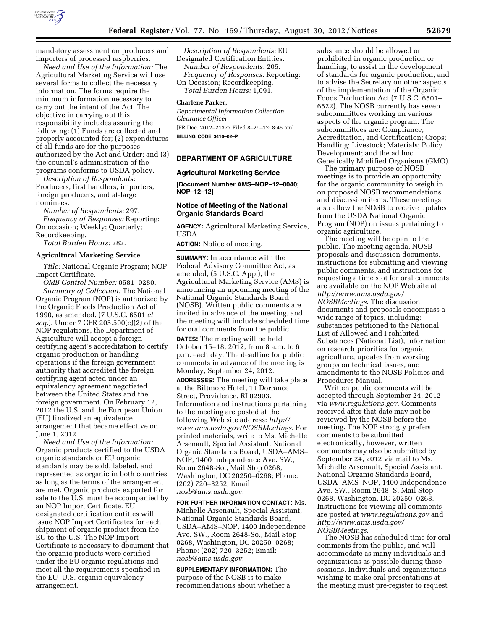

mandatory assessment on producers and importers of processed raspberries.

*Need and Use of the Information:* The Agricultural Marketing Service will use several forms to collect the necessary information. The forms require the minimum information necessary to carry out the intent of the Act. The objective in carrying out this responsibility includes assuring the following: (1) Funds are collected and properly accounted for; (2) expenditures of all funds are for the purposes authorized by the Act and Order; and (3) the council's administration of the programs conforms to USDA policy.

*Description of Respondents:*  Producers, first handlers, importers, foreign producers, and at-large nominees.

*Number of Respondents:* 297. *Frequency of Responses:* Reporting: On occasion; Weekly; Quarterly; Recordkeeping.

*Total Burden Hours:* 282.

## **Agricultural Marketing Service**

*Title:* National Organic Program; NOP Import Certificate.

*OMB Control Number:* 0581–0280. *Summary of Collection:* The National Organic Program (NOP) is authorized by the Organic Foods Production Act of 1990, as amended, (7 U.S.C. 6501 *et seq.*). Under 7 CFR 205.500(c)(2) of the NOP regulations, the Department of Agriculture will accept a foreign certifying agent's accreditation to certify organic production or handling operations if the foreign government authority that accredited the foreign certifying agent acted under an equivalency agreement negotiated between the United States and the foreign government. On February 12, 2012 the U.S. and the European Union (EU) finalized an equivalence arrangement that became effective on June 1, 2012.

*Need and Use of the Information:*  Organic products certified to the USDA organic standards or EU organic standards may be sold, labeled, and represented as organic in both countries as long as the terms of the arrangement are met. Organic products exported for sale to the U.S. must be accompanied by an NOP Import Certificate. EU designated certification entities will issue NOP Import Certificates for each shipment of organic product from the EU to the U.S. The NOP Import Certificate is necessary to document that the organic products were certified under the EU organic regulations and meet all the requirements specified in the EU–U.S. organic equivalency arrangement.

*Description of Respondents:* EU Designated Certification Entities. *Number of Respondents:* 205. *Frequency of Responses:* Reporting: On Occasion; Recordkeeping.

*Total Burden Hours:* 1,091.

## **Charlene Parker,**

*Departmental Information Collection Clearance Officer.*  [FR Doc. 2012–21377 Filed 8–29–12; 8:45 am] **BILLING CODE 3410–02–P** 

# **DEPARTMENT OF AGRICULTURE**

#### **Agricultural Marketing Service**

**[Document Number AMS–NOP–12–0040; NOP–12–12]** 

## **Notice of Meeting of the National Organic Standards Board**

**AGENCY:** Agricultural Marketing Service, USDA.

**ACTION:** Notice of meeting.

**SUMMARY:** In accordance with the Federal Advisory Committee Act, as amended, (5 U.S.C. App.), the Agricultural Marketing Service (AMS) is announcing an upcoming meeting of the National Organic Standards Board (NOSB). Written public comments are invited in advance of the meeting, and the meeting will include scheduled time for oral comments from the public.

**DATES:** The meeting will be held October 15–18, 2012, from 8 a.m. to 6 p.m. each day. The deadline for public comments in advance of the meeting is Monday, September 24, 2012.

**ADDRESSES:** The meeting will take place at the Biltmore Hotel, 11 Dorrance Street, Providence, RI 02903. Information and instructions pertaining to the meeting are posted at the following Web site address: *[http://](http://www.ams.usda.gov/NOSBMeetings)  [www.ams.usda.gov/NOSBMeetings](http://www.ams.usda.gov/NOSBMeetings)*. For printed materials, write to Ms. Michelle Arsenault, Special Assistant, National Organic Standards Board, USDA–AMS– NOP, 1400 Independence Ave. SW., Room 2648-So., Mail Stop 0268, Washington, DC 20250–0268; Phone: (202) 720–3252; Email: *[nosb@ams.usda.gov](mailto:nosb@ams.usda.gov)*.

**FOR FURTHER INFORMATION CONTACT:** Ms. Michelle Arsenault, Special Assistant, National Organic Standards Board, USDA–AMS–NOP, 1400 Independence Ave. SW., Room 2648-So., Mail Stop 0268, Washington, DC 20250–0268; Phone: (202) 720–3252; Email: *[nosb@ams.usda.gov](mailto:nosb@ams.usda.gov)*.

**SUPPLEMENTARY INFORMATION:** The purpose of the NOSB is to make recommendations about whether a

substance should be allowed or prohibited in organic production or handling, to assist in the development of standards for organic production, and to advise the Secretary on other aspects of the implementation of the Organic Foods Production Act (7 U.S.C. 6501– 6522). The NOSB currently has seven subcommittees working on various aspects of the organic program. The subcommittees are: Compliance, Accreditation, and Certification; Crops; Handling; Livestock; Materials; Policy Development; and the ad hoc Genetically Modified Organisms (GMO).

The primary purpose of NOSB meetings is to provide an opportunity for the organic community to weigh in on proposed NOSB recommendations and discussion items. These meetings also allow the NOSB to receive updates from the USDA National Organic Program (NOP) on issues pertaining to organic agriculture.

The meeting will be open to the public. The meeting agenda, NOSB proposals and discussion documents, instructions for submitting and viewing public comments, and instructions for requesting a time slot for oral comments are available on the NOP Web site at *[http://www.ams.usda.gov/](http://www.ams.usda.gov/NOSBMeetings) [NOSBMeetings](http://www.ams.usda.gov/NOSBMeetings)*. The discussion documents and proposals encompass a wide range of topics, including: substances petitioned to the National List of Allowed and Prohibited Substances (National List), information on research priorities for organic agriculture, updates from working groups on technical issues, and amendments to the NOSB Policies and Procedures Manual.

Written public comments will be accepted through September 24, 2012 via *[www.regulations.gov](http://www.regulations.gov)*. Comments received after that date may not be reviewed by the NOSB before the meeting. The NOP strongly prefers comments to be submitted electronically, however, written comments may also be submitted by September 24, 2012 via mail to Ms. Michelle Arsenault, Special Assistant, National Organic Standards Board, USDA–AMS–NOP, 1400 Independence Ave. SW., Room 2648–S, Mail Stop 0268, Washington, DC 20250–0268. Instructions for viewing all comments are posted at *[www.regulations.gov](http://www.regulations.gov)* and *[http://www.ams.usda.gov/](http://www.ams.usda.gov/NOSBMeetings) [NOSBMeetings](http://www.ams.usda.gov/NOSBMeetings)*.

The NOSB has scheduled time for oral comments from the public, and will accommodate as many individuals and organizations as possible during these sessions. Individuals and organizations wishing to make oral presentations at the meeting must pre-register to request